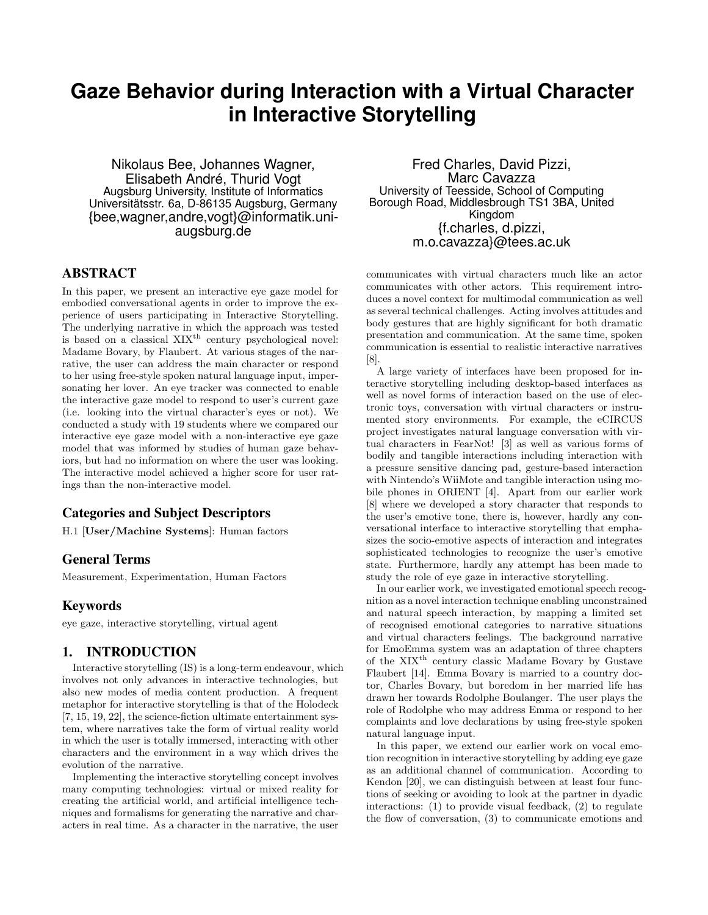# **Gaze Behavior during Interaction with a Virtual Character in Interactive Storytelling**

Nikolaus Bee, Johannes Wagner, Elisabeth André, Thurid Vogt Augsburg University, Institute of Informatics Universitätsstr. 6a, D-86135 Augsburg, Germany {bee,wagner,andre,vogt}@informatik.uniaugsburg.de

# ABSTRACT

In this paper, we present an interactive eye gaze model for embodied conversational agents in order to improve the experience of users participating in Interactive Storytelling. The underlying narrative in which the approach was tested is based on a classical XIX<sup>th</sup> century psychological novel: Madame Bovary, by Flaubert. At various stages of the narrative, the user can address the main character or respond to her using free-style spoken natural language input, impersonating her lover. An eye tracker was connected to enable the interactive gaze model to respond to user's current gaze (i.e. looking into the virtual character's eyes or not). We conducted a study with 19 students where we compared our interactive eye gaze model with a non-interactive eye gaze model that was informed by studies of human gaze behaviors, but had no information on where the user was looking. The interactive model achieved a higher score for user ratings than the non-interactive model.

#### Categories and Subject Descriptors

H.1 [User/Machine Systems]: Human factors

#### General Terms

Measurement, Experimentation, Human Factors

#### Keywords

eye gaze, interactive storytelling, virtual agent

#### 1. INTRODUCTION

Interactive storytelling (IS) is a long-term endeavour, which involves not only advances in interactive technologies, but also new modes of media content production. A frequent metaphor for interactive storytelling is that of the Holodeck [7, 15, 19, 22], the science-fiction ultimate entertainment system, where narratives take the form of virtual reality world in which the user is totally immersed, interacting with other characters and the environment in a way which drives the evolution of the narrative.

Implementing the interactive storytelling concept involves many computing technologies: virtual or mixed reality for creating the artificial world, and artificial intelligence techniques and formalisms for generating the narrative and characters in real time. As a character in the narrative, the user

Fred Charles, David Pizzi, Marc Cavazza University of Teesside, School of Computing Borough Road, Middlesbrough TS1 3BA, United Kingdom {f.charles, d.pizzi, m.o.cavazza}@tees.ac.uk

communicates with virtual characters much like an actor communicates with other actors. This requirement introduces a novel context for multimodal communication as well as several technical challenges. Acting involves attitudes and body gestures that are highly significant for both dramatic presentation and communication. At the same time, spoken communication is essential to realistic interactive narratives [8].

A large variety of interfaces have been proposed for interactive storytelling including desktop-based interfaces as well as novel forms of interaction based on the use of electronic toys, conversation with virtual characters or instrumented story environments. For example, the eCIRCUS project investigates natural language conversation with virtual characters in FearNot! [3] as well as various forms of bodily and tangible interactions including interaction with a pressure sensitive dancing pad, gesture-based interaction with Nintendo's WiiMote and tangible interaction using mobile phones in ORIENT [4]. Apart from our earlier work [8] where we developed a story character that responds to the user's emotive tone, there is, however, hardly any conversational interface to interactive storytelling that emphasizes the socio-emotive aspects of interaction and integrates sophisticated technologies to recognize the user's emotive state. Furthermore, hardly any attempt has been made to study the role of eye gaze in interactive storytelling.

In our earlier work, we investigated emotional speech recognition as a novel interaction technique enabling unconstrained and natural speech interaction, by mapping a limited set of recognised emotional categories to narrative situations and virtual characters feelings. The background narrative for EmoEmma system was an adaptation of three chapters of the XIXth century classic Madame Bovary by Gustave Flaubert [14]. Emma Bovary is married to a country doctor, Charles Bovary, but boredom in her married life has drawn her towards Rodolphe Boulanger. The user plays the role of Rodolphe who may address Emma or respond to her complaints and love declarations by using free-style spoken natural language input.

In this paper, we extend our earlier work on vocal emotion recognition in interactive storytelling by adding eye gaze as an additional channel of communication. According to Kendon [20], we can distinguish between at least four functions of seeking or avoiding to look at the partner in dyadic interactions: (1) to provide visual feedback, (2) to regulate the flow of conversation, (3) to communicate emotions and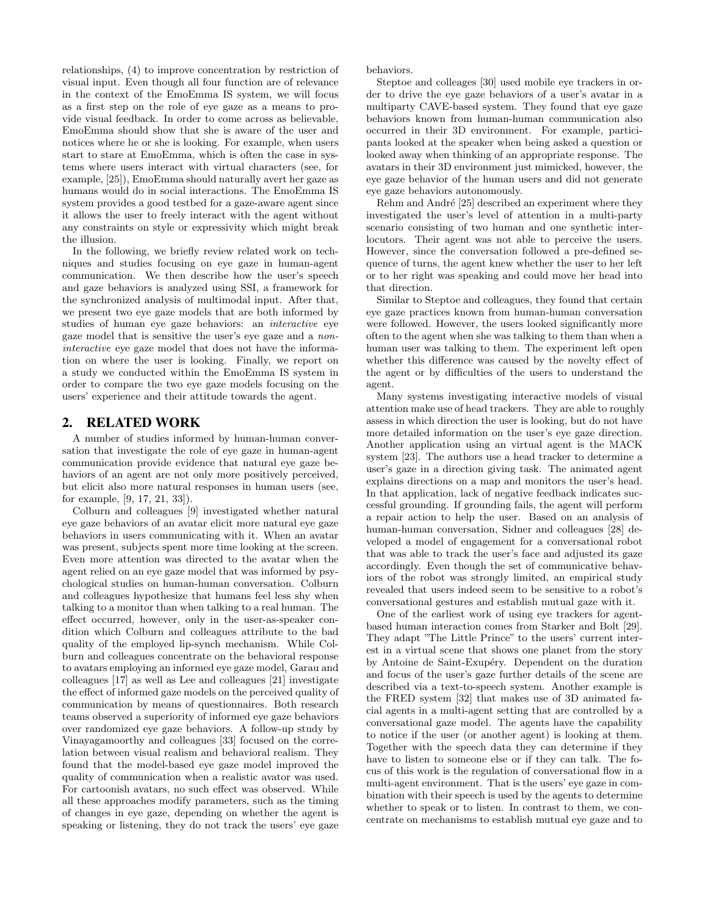relationships, (4) to improve concentration by restriction of visual input. Even though all four function are of relevance in the context of the EmoEmma IS system, we will focus as a first step on the role of eye gaze as a means to provide visual feedback. In order to come across as believable, EmoEmma should show that she is aware of the user and notices where he or she is looking. For example, when users start to stare at EmoEmma, which is often the case in systems where users interact with virtual characters (see, for example, [25]), EmoEmma should naturally avert her gaze as humans would do in social interactions. The EmoEmma IS system provides a good testbed for a gaze-aware agent since it allows the user to freely interact with the agent without any constraints on style or expressivity which might break the illusion.

In the following, we briefly review related work on techniques and studies focusing on eye gaze in human-agent communication. We then describe how the user's speech and gaze behaviors is analyzed using SSI, a framework for the synchronized analysis of multimodal input. After that, we present two eye gaze models that are both informed by studies of human eye gaze behaviors: an interactive eye gaze model that is sensitive the user's eye gaze and a noninteractive eye gaze model that does not have the information on where the user is looking. Finally, we report on a study we conducted within the EmoEmma IS system in order to compare the two eye gaze models focusing on the users' experience and their attitude towards the agent.

#### 2. RELATED WORK

A number of studies informed by human-human conversation that investigate the role of eye gaze in human-agent communication provide evidence that natural eye gaze behaviors of an agent are not only more positively perceived, but elicit also more natural responses in human users (see, for example, [9, 17, 21, 33]).

Colburn and colleagues [9] investigated whether natural eye gaze behaviors of an avatar elicit more natural eye gaze behaviors in users communicating with it. When an avatar was present, subjects spent more time looking at the screen. Even more attention was directed to the avatar when the agent relied on an eye gaze model that was informed by psychological studies on human-human conversation. Colburn and colleagues hypothesize that humans feel less shy when talking to a monitor than when talking to a real human. The effect occurred, however, only in the user-as-speaker condition which Colburn and colleagues attribute to the bad quality of the employed lip-synch mechanism. While Colburn and colleagues concentrate on the behavioral response to avatars employing an informed eye gaze model, Garau and colleagues [17] as well as Lee and colleagues [21] investigate the effect of informed gaze models on the perceived quality of communication by means of questionnaires. Both research teams observed a superiority of informed eye gaze behaviors over randomized eye gaze behaviors. A follow-up study by Vinayagamoorthy and colleagues [33] focused on the correlation between visual realism and behavioral realism. They found that the model-based eye gaze model improved the quality of communication when a realistic avator was used. For cartoonish avatars, no such effect was observed. While all these approaches modify parameters, such as the timing of changes in eye gaze, depending on whether the agent is speaking or listening, they do not track the users' eye gaze

behaviors.

Steptoe and colleages [30] used mobile eye trackers in order to drive the eye gaze behaviors of a user's avatar in a multiparty CAVE-based system. They found that eye gaze behaviors known from human-human communication also occurred in their 3D environment. For example, participants looked at the speaker when being asked a question or looked away when thinking of an appropriate response. The avatars in their 3D environment just mimicked, however, the eye gaze behavior of the human users and did not generate eye gaze behaviors autonomously.

Rehm and André [25] described an experiment where they investigated the user's level of attention in a multi-party scenario consisting of two human and one synthetic interlocutors. Their agent was not able to perceive the users. However, since the conversation followed a pre-defined sequence of turns, the agent knew whether the user to her left or to her right was speaking and could move her head into that direction.

Similar to Steptoe and colleagues, they found that certain eye gaze practices known from human-human conversation were followed. However, the users looked significantly more often to the agent when she was talking to them than when a human user was talking to them. The experiment left open whether this difference was caused by the novelty effect of the agent or by difficulties of the users to understand the agent.

Many systems investigating interactive models of visual attention make use of head trackers. They are able to roughly assess in which direction the user is looking, but do not have more detailed information on the user's eye gaze direction. Another application using an virtual agent is the MACK system [23]. The authors use a head tracker to determine a user's gaze in a direction giving task. The animated agent explains directions on a map and monitors the user's head. In that application, lack of negative feedback indicates successful grounding. If grounding fails, the agent will perform a repair action to help the user. Based on an analysis of human-human conversation, Sidner and colleagues [28] developed a model of engagement for a conversational robot that was able to track the user's face and adjusted its gaze accordingly. Even though the set of communicative behaviors of the robot was strongly limited, an empirical study revealed that users indeed seem to be sensitive to a robot's conversational gestures and establish mutual gaze with it.

One of the earliest work of using eye trackers for agentbased human interaction comes from Starker and Bolt [29]. They adapt "The Little Prince" to the users' current interest in a virtual scene that shows one planet from the story by Antoine de Saint-Exupéry. Dependent on the duration and focus of the user's gaze further details of the scene are described via a text-to-speech system. Another example is the FRED system [32] that makes use of 3D animated facial agents in a multi-agent setting that are controlled by a conversational gaze model. The agents have the capability to notice if the user (or another agent) is looking at them. Together with the speech data they can determine if they have to listen to someone else or if they can talk. The focus of this work is the regulation of conversational flow in a multi-agent environment. That is the users' eye gaze in combination with their speech is used by the agents to determine whether to speak or to listen. In contrast to them, we concentrate on mechanisms to establish mutual eye gaze and to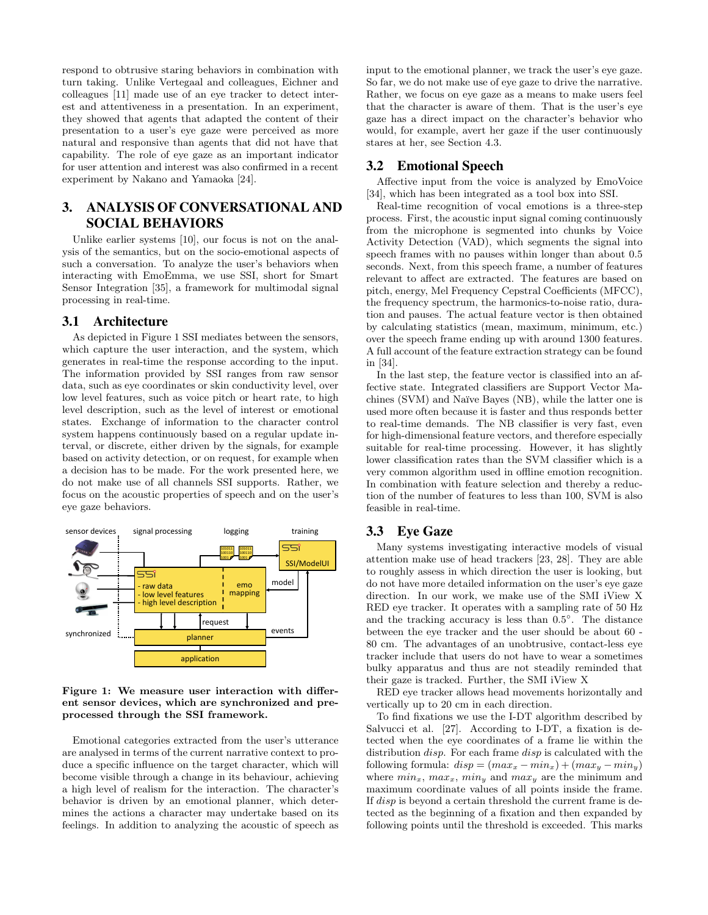respond to obtrusive staring behaviors in combination with turn taking. Unlike Vertegaal and colleagues, Eichner and colleagues [11] made use of an eye tracker to detect interest and attentiveness in a presentation. In an experiment, they showed that agents that adapted the content of their presentation to a user's eye gaze were perceived as more natural and responsive than agents that did not have that capability. The role of eye gaze as an important indicator for user attention and interest was also confirmed in a recent experiment by Nakano and Yamaoka [24].

# 3. ANALYSIS OF CONVERSATIONAL AND SOCIAL BEHAVIORS

Unlike earlier systems [10], our focus is not on the analysis of the semantics, but on the socio-emotional aspects of such a conversation. To analyze the user's behaviors when interacting with EmoEmma, we use SSI, short for Smart Sensor Integration [35], a framework for multimodal signal processing in real-time.

#### 3.1 Architecture

As depicted in Figure 1 SSI mediates between the sensors, which capture the user interaction, and the system, which generates in real-time the response according to the input. The information provided by SSI ranges from raw sensor data, such as eye coordinates or skin conductivity level, over low level features, such as voice pitch or heart rate, to high level description, such as the level of interest or emotional states. Exchange of information to the character control system happens continuously based on a regular update interval, or discrete, either driven by the signals, for example based on activity detection, or on request, for example when a decision has to be made. For the work presented here, we do not make use of all channels SSI supports. Rather, we focus on the acoustic properties of speech and on the user's eye gaze behaviors.



#### Figure 1: We measure user interaction with different sensor devices, which are synchronized and preprocessed through the SSI framework.

Emotional categories extracted from the user's utterance are analysed in terms of the current narrative context to produce a specific influence on the target character, which will become visible through a change in its behaviour, achieving a high level of realism for the interaction. The character's behavior is driven by an emotional planner, which determines the actions a character may undertake based on its feelings. In addition to analyzing the acoustic of speech as

input to the emotional planner, we track the user's eye gaze. So far, we do not make use of eye gaze to drive the narrative. Rather, we focus on eye gaze as a means to make users feel that the character is aware of them. That is the user's eye gaze has a direct impact on the character's behavior who would, for example, avert her gaze if the user continuously stares at her, see Section 4.3.

#### 3.2 Emotional Speech

Affective input from the voice is analyzed by EmoVoice [34], which has been integrated as a tool box into SSI.

Real-time recognition of vocal emotions is a three-step process. First, the acoustic input signal coming continuously from the microphone is segmented into chunks by Voice Activity Detection (VAD), which segments the signal into speech frames with no pauses within longer than about 0.5 seconds. Next, from this speech frame, a number of features relevant to affect are extracted. The features are based on pitch, energy, Mel Frequency Cepstral Coefficients (MFCC), the frequency spectrum, the harmonics-to-noise ratio, duration and pauses. The actual feature vector is then obtained by calculating statistics (mean, maximum, minimum, etc.) over the speech frame ending up with around 1300 features. A full account of the feature extraction strategy can be found in [34].

In the last step, the feature vector is classified into an affective state. Integrated classifiers are Support Vector Machines (SVM) and Naïve Bayes (NB), while the latter one is used more often because it is faster and thus responds better to real-time demands. The NB classifier is very fast, even for high-dimensional feature vectors, and therefore especially suitable for real-time processing. However, it has slightly lower classification rates than the SVM classifier which is a very common algorithm used in offline emotion recognition. In combination with feature selection and thereby a reduction of the number of features to less than 100, SVM is also feasible in real-time.

## 3.3 Eye Gaze

Many systems investigating interactive models of visual attention make use of head trackers [23, 28]. They are able to roughly assess in which direction the user is looking, but do not have more detailed information on the user's eye gaze direction. In our work, we make use of the SMI iView X RED eye tracker. It operates with a sampling rate of 50 Hz and the tracking accuracy is less than 0.5◦ . The distance between the eye tracker and the user should be about 60 - 80 cm. The advantages of an unobtrusive, contact-less eye tracker include that users do not have to wear a sometimes bulky apparatus and thus are not steadily reminded that their gaze is tracked. Further, the SMI iView X

RED eye tracker allows head movements horizontally and vertically up to 20 cm in each direction.

To find fixations we use the I-DT algorithm described by Salvucci et al. [27]. According to I-DT, a fixation is detected when the eye coordinates of a frame lie within the distribution *disp*. For each frame *disp* is calculated with the following formula:  $disp = (max_x - min_x) + (max_y - min_y)$ where  $min_x, max_x, min_y$  and  $max_y$  are the minimum and maximum coordinate values of all points inside the frame. If disp is beyond a certain threshold the current frame is detected as the beginning of a fixation and then expanded by following points until the threshold is exceeded. This marks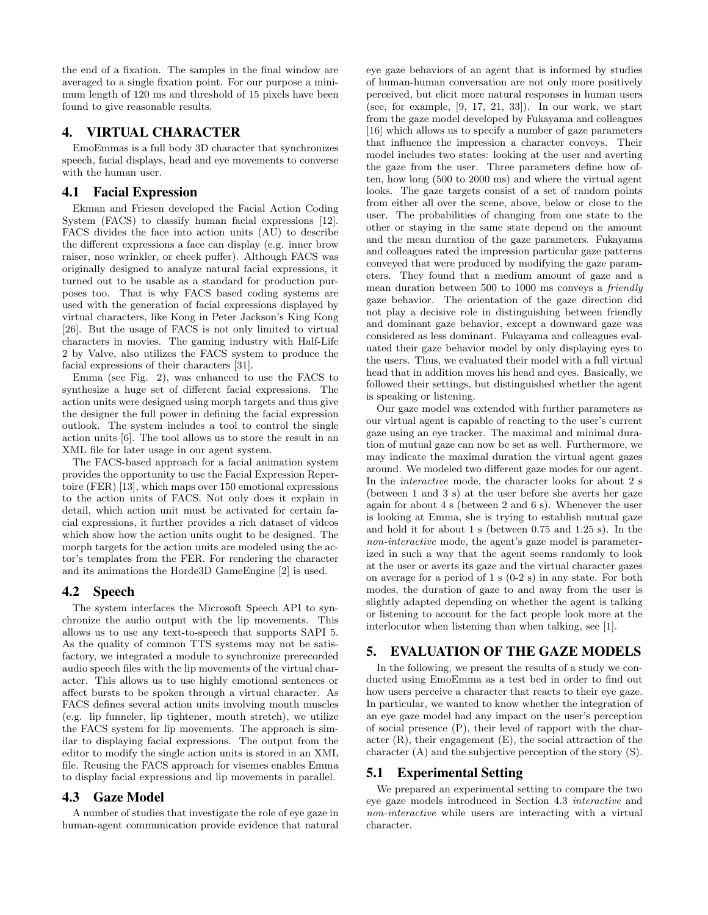the end of a fixation. The samples in the final window are averaged to a single fixation point. For our purpose a minimum length of 120 ms and threshold of 15 pixels have been found to give reasonable results.

# 4. VIRTUAL CHARACTER

EmoEmmas is a full body 3D character that synchronizes speech, facial displays, head and eye movements to converse with the human user.

#### 4.1 Facial Expression

Ekman and Friesen developed the Facial Action Coding System (FACS) to classify human facial expressions [12]. FACS divides the face into action units (AU) to describe the different expressions a face can display (e.g. inner brow raiser, nose wrinkler, or cheek puffer). Although FACS was originally designed to analyze natural facial expressions, it turned out to be usable as a standard for production purposes too. That is why FACS based coding systems are used with the generation of facial expressions displayed by virtual characters, like Kong in Peter Jackson's King Kong [26]. But the usage of FACS is not only limited to virtual characters in movies. The gaming industry with Half-Life 2 by Valve, also utilizes the FACS system to produce the facial expressions of their characters [31].

Emma (see Fig. 2), was enhanced to use the FACS to synthesize a huge set of different facial expressions. The action units were designed using morph targets and thus give the designer the full power in defining the facial expression outlook. The system includes a tool to control the single action units [6]. The tool allows us to store the result in an XML file for later usage in our agent system.

The FACS-based approach for a facial animation system provides the opportunity to use the Facial Expression Repertoire (FER) [13], which maps over 150 emotional expressions to the action units of FACS. Not only does it explain in detail, which action unit must be activated for certain facial expressions, it further provides a rich dataset of videos which show how the action units ought to be designed. The morph targets for the action units are modeled using the actor's templates from the FER. For rendering the character and its animations the Horde3D GameEngine [2] is used.

## 4.2 Speech

The system interfaces the Microsoft Speech API to synchronize the audio output with the lip movements. This allows us to use any text-to-speech that supports SAPI 5. As the quality of common TTS systems may not be satisfactory, we integrated a module to synchronize prerecorded audio speech files with the lip movements of the virtual character. This allows us to use highly emotional sentences or affect bursts to be spoken through a virtual character. As FACS defines several action units involving mouth muscles (e.g. lip funneler, lip tightener, mouth stretch), we utilize the FACS system for lip movements. The approach is similar to displaying facial expressions. The output from the editor to modify the single action units is stored in an XML file. Reusing the FACS approach for visemes enables Emma to display facial expressions and lip movements in parallel.

## 4.3 Gaze Model

A number of studies that investigate the role of eye gaze in human-agent communication provide evidence that natural eye gaze behaviors of an agent that is informed by studies of human-human conversation are not only more positively perceived, but elicit more natural responses in human users (see, for example,  $[9, 17, 21, 33]$ ). In our work, we start from the gaze model developed by Fukayama and colleagues [16] which allows us to specify a number of gaze parameters that influence the impression a character conveys. Their model includes two states: looking at the user and averting the gaze from the user. Three parameters define how often, how long (500 to 2000 ms) and where the virtual agent looks. The gaze targets consist of a set of random points from either all over the scene, above, below or close to the user. The probabilities of changing from one state to the other or staying in the same state depend on the amount and the mean duration of the gaze parameters. Fukayama and colleagues rated the impression particular gaze patterns conveyed that were produced by modifying the gaze parameters. They found that a medium amount of gaze and a mean duration between 500 to 1000 ms conveys a friendly gaze behavior. The orientation of the gaze direction did not play a decisive role in distinguishing between friendly and dominant gaze behavior, except a downward gaze was considered as less dominant. Fukayama and colleagues evaluated their gaze behavior model by only displaying eyes to the users. Thus, we evaluated their model with a full virtual head that in addition moves his head and eyes. Basically, we followed their settings, but distinguished whether the agent is speaking or listening.

Our gaze model was extended with further parameters as our virtual agent is capable of reacting to the user's current gaze using an eye tracker. The maximal and minimal duration of mutual gaze can now be set as well. Furthermore, we may indicate the maximal duration the virtual agent gazes around. We modeled two different gaze modes for our agent. In the interactive mode, the character looks for about 2 s (between 1 and 3 s) at the user before she averts her gaze again for about 4 s (between 2 and 6 s). Whenever the user is looking at Emma, she is trying to establish mutual gaze and hold it for about 1 s (between 0.75 and 1.25 s). In the non-interactive mode, the agent's gaze model is parameterized in such a way that the agent seems randomly to look at the user or averts its gaze and the virtual character gazes on average for a period of 1 s (0-2 s) in any state. For both modes, the duration of gaze to and away from the user is slightly adapted depending on whether the agent is talking or listening to account for the fact people look more at the interlocutor when listening than when talking, see [1].

## 5. EVALUATION OF THE GAZE MODELS

In the following, we present the results of a study we conducted using EmoEmma as a test bed in order to find out how users perceive a character that reacts to their eye gaze. In particular, we wanted to know whether the integration of an eye gaze model had any impact on the user's perception of social presence (P), their level of rapport with the character  $(R)$ , their engagement  $(E)$ , the social attraction of the character (A) and the subjective perception of the story (S).

## 5.1 Experimental Setting

We prepared an experimental setting to compare the two eye gaze models introduced in Section 4.3 interactive and non-interactive while users are interacting with a virtual character.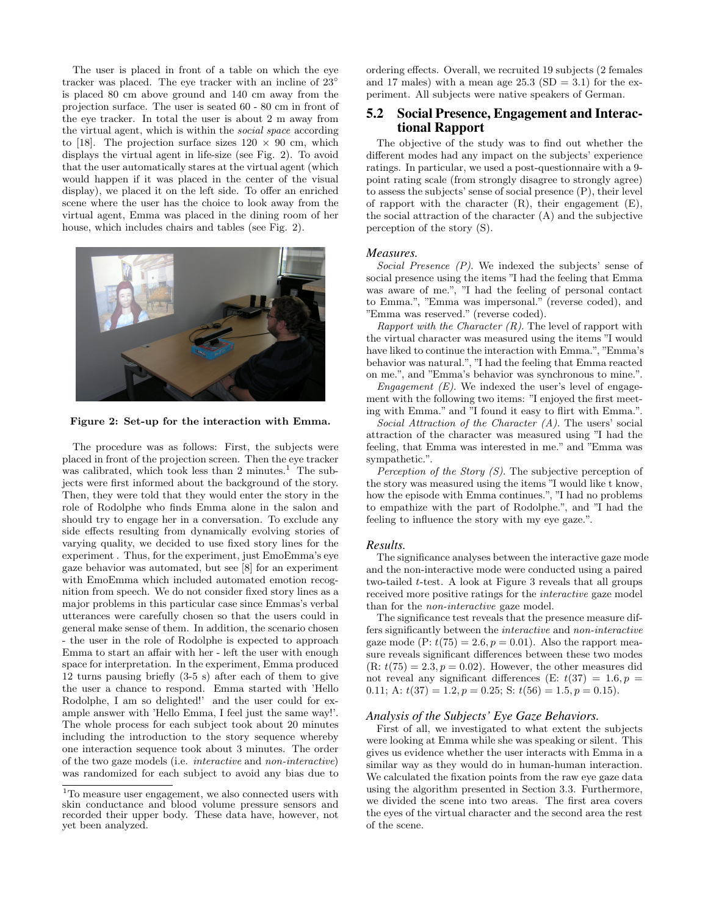The user is placed in front of a table on which the eye tracker was placed. The eye tracker with an incline of 23◦ is placed 80 cm above ground and 140 cm away from the projection surface. The user is seated 60 - 80 cm in front of the eye tracker. In total the user is about 2 m away from the virtual agent, which is within the social space according to [18]. The projection surface sizes  $120 \times 90$  cm, which displays the virtual agent in life-size (see Fig. 2). To avoid that the user automatically stares at the virtual agent (which would happen if it was placed in the center of the visual display), we placed it on the left side. To offer an enriched scene where the user has the choice to look away from the virtual agent, Emma was placed in the dining room of her house, which includes chairs and tables (see Fig. 2).



Figure 2: Set-up for the interaction with Emma.

The procedure was as follows: First, the subjects were placed in front of the projection screen. Then the eye tracker was calibrated, which took less than 2 minutes.<sup>1</sup> The subjects were first informed about the background of the story. Then, they were told that they would enter the story in the role of Rodolphe who finds Emma alone in the salon and should try to engage her in a conversation. To exclude any side effects resulting from dynamically evolving stories of varying quality, we decided to use fixed story lines for the experiment . Thus, for the experiment, just EmoEmma's eye gaze behavior was automated, but see [8] for an experiment with EmoEmma which included automated emotion recognition from speech. We do not consider fixed story lines as a major problems in this particular case since Emmas's verbal utterances were carefully chosen so that the users could in general make sense of them. In addition, the scenario chosen - the user in the role of Rodolphe is expected to approach Emma to start an affair with her - left the user with enough space for interpretation. In the experiment, Emma produced 12 turns pausing briefly (3-5 s) after each of them to give the user a chance to respond. Emma started with 'Hello Rodolphe, I am so delighted!' and the user could for example answer with 'Hello Emma, I feel just the same way!'. The whole process for each subject took about 20 minutes including the introduction to the story sequence whereby one interaction sequence took about 3 minutes. The order of the two gaze models (i.e. interactive and non-interactive) was randomized for each subject to avoid any bias due to

ordering effects. Overall, we recruited 19 subjects (2 females and 17 males) with a mean age  $25.3$  (SD = 3.1) for the experiment. All subjects were native speakers of German.

#### 5.2 Social Presence, Engagement and Interactional Rapport

The objective of the study was to find out whether the different modes had any impact on the subjects' experience ratings. In particular, we used a post-questionnaire with a 9 point rating scale (from strongly disagree to strongly agree) to assess the subjects' sense of social presence (P), their level of rapport with the character  $(R)$ , their engagement  $(E)$ , the social attraction of the character (A) and the subjective perception of the story (S).

#### *Measures.*

Social Presence  $(P)$ . We indexed the subjects' sense of social presence using the items "I had the feeling that Emma was aware of me.", "I had the feeling of personal contact to Emma.", "Emma was impersonal." (reverse coded), and "Emma was reserved." (reverse coded).

Rapport with the Character  $(R)$ . The level of rapport with the virtual character was measured using the items "I would have liked to continue the interaction with Emma.", "Emma's behavior was natural.", "I had the feeling that Emma reacted on me.", and "Emma's behavior was synchronous to mine.".

Engagement  $(E)$ . We indexed the user's level of engagement with the following two items: "I enjoyed the first meeting with Emma." and "I found it easy to flirt with Emma.".

Social Attraction of the Character (A). The users' social attraction of the character was measured using "I had the feeling, that Emma was interested in me." and "Emma was sympathetic.".

Perception of the Story  $(S)$ . The subjective perception of the story was measured using the items "I would like t know, how the episode with Emma continues.", "I had no problems to empathize with the part of Rodolphe.", and "I had the feeling to influence the story with my eye gaze.".

#### *Results.*

The significance analyses between the interactive gaze mode and the non-interactive mode were conducted using a paired two-tailed t-test. A look at Figure 3 reveals that all groups received more positive ratings for the interactive gaze model than for the non-interactive gaze model.

The significance test reveals that the presence measure differs significantly between the interactive and non-interactive gaze mode (P:  $t(75) = 2.6, p = 0.01$ ). Also the rapport measure reveals significant differences between these two modes  $(R: t(75) = 2.3, p = 0.02)$ . However, the other measures did not reveal any significant differences (E:  $t(37) = 1.6, p =$ 0.11; A:  $t(37) = 1.2, p = 0.25$ ; S:  $t(56) = 1.5, p = 0.15$ .

#### *Analysis of the Subjects' Eye Gaze Behaviors.*

First of all, we investigated to what extent the subjects were looking at Emma while she was speaking or silent. This gives us evidence whether the user interacts with Emma in a similar way as they would do in human-human interaction. We calculated the fixation points from the raw eye gaze data using the algorithm presented in Section 3.3. Furthermore, we divided the scene into two areas. The first area covers the eyes of the virtual character and the second area the rest of the scene.

<sup>&</sup>lt;sup>1</sup>To measure user engagement, we also connected users with skin conductance and blood volume pressure sensors and recorded their upper body. These data have, however, not yet been analyzed.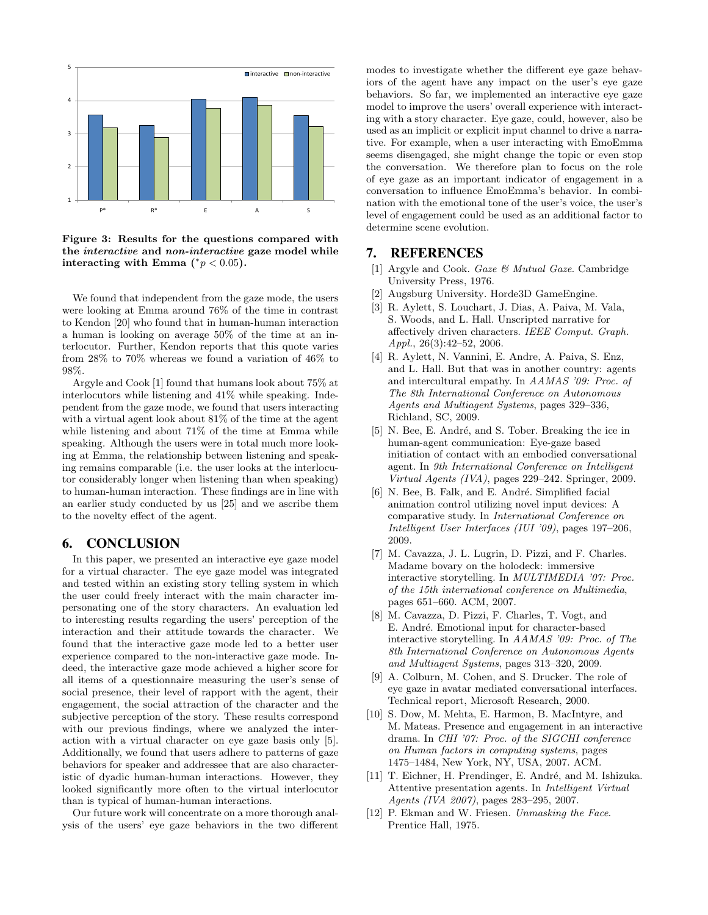

Figure 3: Results for the questions compared with the interactive and non-interactive gaze model while interacting with Emma  $(*p < 0.05)$ .

We found that independent from the gaze mode, the users were looking at Emma around 76% of the time in contrast to Kendon [20] who found that in human-human interaction a human is looking on average 50% of the time at an interlocutor. Further, Kendon reports that this quote varies from 28% to 70% whereas we found a variation of 46% to 98%.

Argyle and Cook [1] found that humans look about 75% at interlocutors while listening and 41% while speaking. Independent from the gaze mode, we found that users interacting with a virtual agent look about 81% of the time at the agent while listening and about 71% of the time at Emma while speaking. Although the users were in total much more looking at Emma, the relationship between listening and speaking remains comparable (i.e. the user looks at the interlocutor considerably longer when listening than when speaking) to human-human interaction. These findings are in line with an earlier study conducted by us [25] and we ascribe them to the novelty effect of the agent.

#### 6. CONCLUSION

In this paper, we presented an interactive eye gaze model for a virtual character. The eye gaze model was integrated and tested within an existing story telling system in which the user could freely interact with the main character impersonating one of the story characters. An evaluation led to interesting results regarding the users' perception of the interaction and their attitude towards the character. We found that the interactive gaze mode led to a better user experience compared to the non-interactive gaze mode. Indeed, the interactive gaze mode achieved a higher score for all items of a questionnaire measuring the user's sense of social presence, their level of rapport with the agent, their engagement, the social attraction of the character and the subjective perception of the story. These results correspond with our previous findings, where we analyzed the interaction with a virtual character on eye gaze basis only [5]. Additionally, we found that users adhere to patterns of gaze behaviors for speaker and addressee that are also characteristic of dyadic human-human interactions. However, they looked significantly more often to the virtual interlocutor than is typical of human-human interactions.

Our future work will concentrate on a more thorough analysis of the users' eye gaze behaviors in the two different

modes to investigate whether the different eye gaze behaviors of the agent have any impact on the user's eye gaze behaviors. So far, we implemented an interactive eye gaze model to improve the users' overall experience with interacting with a story character. Eye gaze, could, however, also be used as an implicit or explicit input channel to drive a narrative. For example, when a user interacting with EmoEmma seems disengaged, she might change the topic or even stop the conversation. We therefore plan to focus on the role of eye gaze as an important indicator of engagement in a conversation to influence EmoEmma's behavior. In combination with the emotional tone of the user's voice, the user's level of engagement could be used as an additional factor to determine scene evolution.

# 7. REFERENCES

- [1] Argyle and Cook. Gaze & Mutual Gaze. Cambridge University Press, 1976.
- [2] Augsburg University. Horde3D GameEngine.
- [3] R. Aylett, S. Louchart, J. Dias, A. Paiva, M. Vala, S. Woods, and L. Hall. Unscripted narrative for affectively driven characters. IEEE Comput. Graph.  $Appl., 26(3):42-52, 2006.$
- [4] R. Aylett, N. Vannini, E. Andre, A. Paiva, S. Enz, and L. Hall. But that was in another country: agents and intercultural empathy. In AAMAS '09: Proc. of The 8th International Conference on Autonomous Agents and Multiagent Systems, pages 329–336, Richland, SC, 2009.
- [5] N. Bee, E. André, and S. Tober. Breaking the ice in human-agent communication: Eye-gaze based initiation of contact with an embodied conversational agent. In 9th International Conference on Intelligent Virtual Agents (IVA), pages 229–242. Springer, 2009.
- [6] N. Bee, B. Falk, and E. André. Simplified facial animation control utilizing novel input devices: A comparative study. In International Conference on Intelligent User Interfaces (IUI '09), pages 197–206, 2009.
- [7] M. Cavazza, J. L. Lugrin, D. Pizzi, and F. Charles. Madame bovary on the holodeck: immersive interactive storytelling. In MULTIMEDIA '07: Proc. of the 15th international conference on Multimedia, pages 651–660. ACM, 2007.
- [8] M. Cavazza, D. Pizzi, F. Charles, T. Vogt, and E. André. Emotional input for character-based interactive storytelling. In AAMAS '09: Proc. of The 8th International Conference on Autonomous Agents and Multiagent Systems, pages 313–320, 2009.
- [9] A. Colburn, M. Cohen, and S. Drucker. The role of eye gaze in avatar mediated conversational interfaces. Technical report, Microsoft Research, 2000.
- [10] S. Dow, M. Mehta, E. Harmon, B. MacIntyre, and M. Mateas. Presence and engagement in an interactive drama. In CHI '07: Proc. of the SIGCHI conference on Human factors in computing systems, pages 1475–1484, New York, NY, USA, 2007. ACM.
- [11] T. Eichner, H. Prendinger, E. André, and M. Ishizuka. Attentive presentation agents. In Intelligent Virtual Agents (IVA 2007), pages 283–295, 2007.
- [12] P. Ekman and W. Friesen. Unmasking the Face. Prentice Hall, 1975.